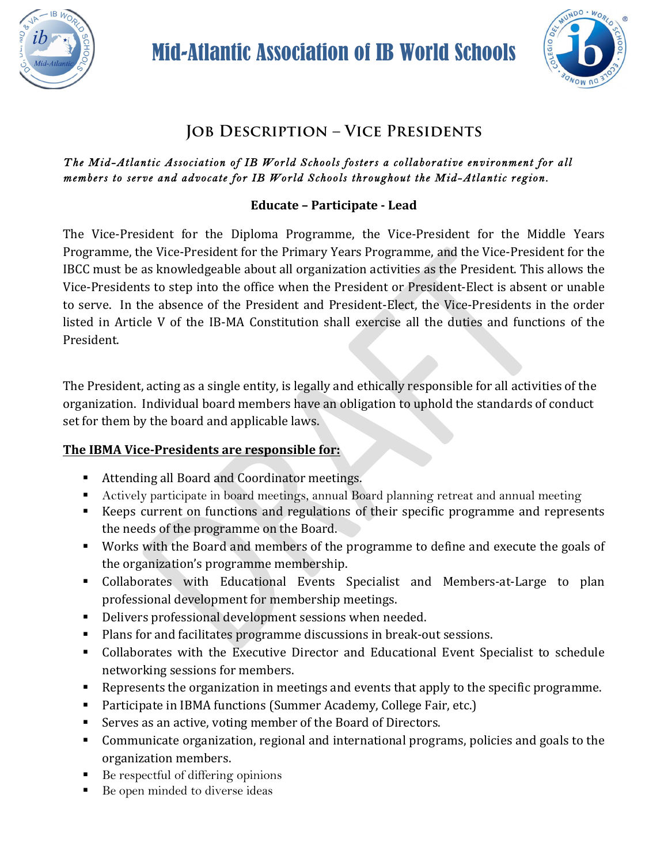



# **Job Description – Vice Presidents**

#### *The Mid-Atlantic Association of IB World Schools fosters a collaborative environment for all members to serve and advocate for IB World Schools throughout the Mid-Atlantic region.*

## **Educate – Participate - Lead**

The Vice-President for the Diploma Programme, the Vice-President for the Middle Years Programme, the Vice-President for the Primary Years Programme, and the Vice-President for the IBCC must be as knowledgeable about all organization activities as the President. This allows the Vice-Presidents to step into the office when the President or President-Elect is absent or unable to serve. In the absence of the President and President-Elect, the Vice-Presidents in the order listed in Article V of the IB-MA Constitution shall exercise all the duties and functions of the President. 

The President, acting as a single entity, is legally and ethically responsible for all activities of the organization. Individual board members have an obligation to uphold the standards of conduct set for them by the board and applicable laws.

## **The IBMA Vice-Presidents are responsible for:**

- Attending all Board and Coordinator meetings.
- Actively participate in board meetings, annual Board planning retreat and annual meeting
- Keeps current on functions and regulations of their specific programme and represents the needs of the programme on the Board.
- Works with the Board and members of the programme to define and execute the goals of the organization's programme membership.
- Collaborates with Educational Events Specialist and Members-at-Large to plan professional development for membership meetings.
- **•** Delivers professional development sessions when needed.
- Plans for and facilitates programme discussions in break-out sessions.
- Collaborates with the Executive Director and Educational Event Specialist to schedule networking sessions for members.
- Represents the organization in meetings and events that apply to the specific programme.
- Participate in IBMA functions (Summer Academy, College Fair, etc.)
- Serves as an active, voting member of the Board of Directors.
- Communicate organization, regional and international programs, policies and goals to the organization members.
- Be respectful of differing opinions
- Be open minded to diverse ideas